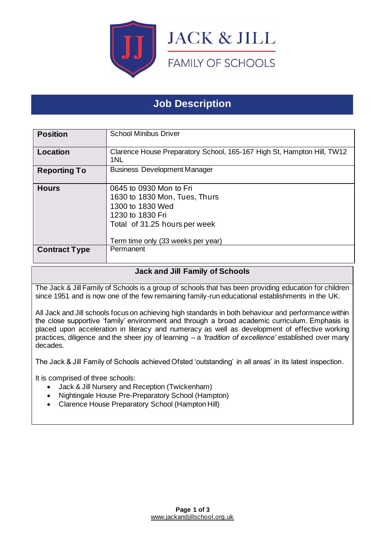

# **Job Description**

| <b>Position</b>      | <b>School Minibus Driver</b>                                                                                                                                            |
|----------------------|-------------------------------------------------------------------------------------------------------------------------------------------------------------------------|
| Location             | Clarence House Preparatory School, 165-167 High St, Hampton Hill, TW12<br>1NL                                                                                           |
| <b>Reporting To</b>  | <b>Business Development Manager</b>                                                                                                                                     |
| <b>Hours</b>         | 0645 to 0930 Mon to Fri<br>1630 to 1830 Mon, Tues, Thurs<br>1300 to 1830 Wed<br>1230 to 1830 Fri<br>Total of 31.25 hours per week<br>Term time only (33 weeks per year) |
| <b>Contract Type</b> | Permanent                                                                                                                                                               |

## **Jack and Jill Family of Schools**

The Jack & Jill Family of Schools is a group of schools that has been providing education for children since 1951 and is now one of the few remaining family-run educational establishments in the UK.

All Jack and Jill schools focus on achieving high standards in both behaviour and performance within the close supportive 'family' environment and through a broad academic curriculum. Emphasis is placed upon acceleration in literacy and numeracy as well as development of effective working practices, diligence and the sheer joy of learning – a *'tradition of excellence'* established over many decades.

The Jack & Jill Family of Schools achieved Ofsted 'outstanding' in all areas' in its latest inspection.

It is comprised of three schools:

- Jack & Jill Nursery and Reception (Twickenham)
- Nightingale House Pre-Preparatory School (Hampton)
- Clarence House Preparatory School (Hampton Hill)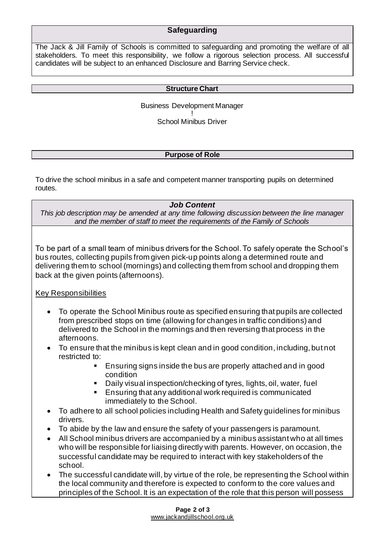## **Safeguarding**

The Jack & Jill Family of Schools is committed to safeguarding and promoting the welfare of all stakeholders. To meet this responsibility, we follow a rigorous selection process. All successful candidates will be subject to an enhanced Disclosure and Barring Service check.

#### **Structure Chart**

Business Development Manager

! School Minibus Driver

#### **Purpose of Role**

To drive the school minibus in a safe and competent manner transporting pupils on determined routes.

#### *Job Content*

*This job description may be amended at any time following discussion between the line manager and the member of staff to meet the requirements of the Family of Schools*

To be part of a small team of minibus drivers for the School. To safely operate the School's bus routes, collecting pupils from given pick-up points along a determined route and delivering them to school (mornings) and collecting them from school and dropping them back at the given points (afternoons).

### Key Responsibilities

- To operate the School Minibus route as specified ensuring that pupils are collected from prescribed stops on time (allowing for changes in traffic conditions) and delivered to the School in the mornings and then reversing that process in the afternoons.
- To ensure that the minibus is kept clean and in good condition, including, but not restricted to:
	- Ensuring signs inside the bus are properly attached and in good condition
	- Daily visual inspection/checking of tyres, lights, oil, water, fuel
	- Ensuring that any additional work required is communicated immediately to the School.
- To adhere to all school policies including Health and Safety guidelines for minibus drivers.
- To abide by the law and ensure the safety of your passengers is paramount.
- All School minibus drivers are accompanied by a minibus assistant who at all times who will be responsible for liaising directly with parents. However, on occasion, the successful candidate may be required to interact with key stakeholders of the school.
- The successful candidate will, by virtue of the role, be representing the School within the local community and therefore is expected to conform to the core values and principles of the School. It is an expectation of the role that this person will possess